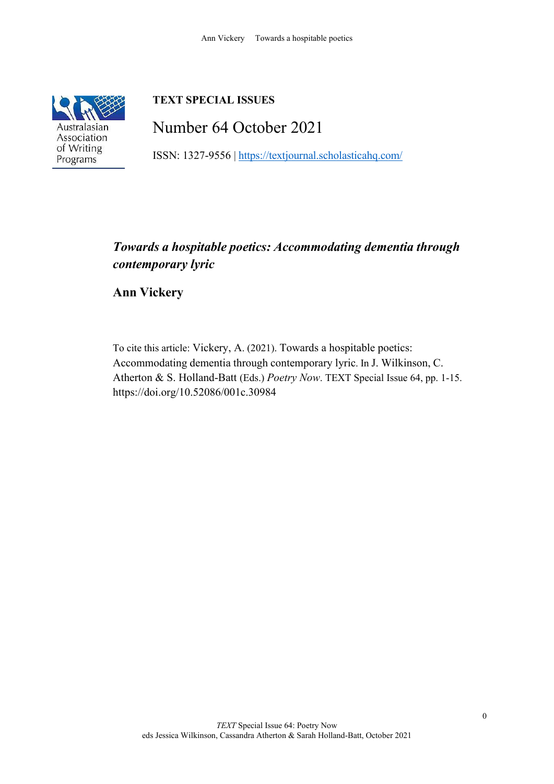

# **TEXT SPECIAL ISSUES**

Number 64 October 2021

ISSN: 1327-9556 | <https://textjournal.scholasticahq.com/>

## *Towards a hospitable poetics: Accommodating dementia through contemporary lyric*

**Ann Vickery**

To cite this article: Vickery, A. (2021). Towards a hospitable poetics: Accommodating dementia through contemporary lyric. In J. Wilkinson, C. Atherton & S. Holland-Batt (Eds.) *Poetry Now*. TEXT Special Issue 64, pp. 1-15. <https://doi.org/10.52086/001c.30984>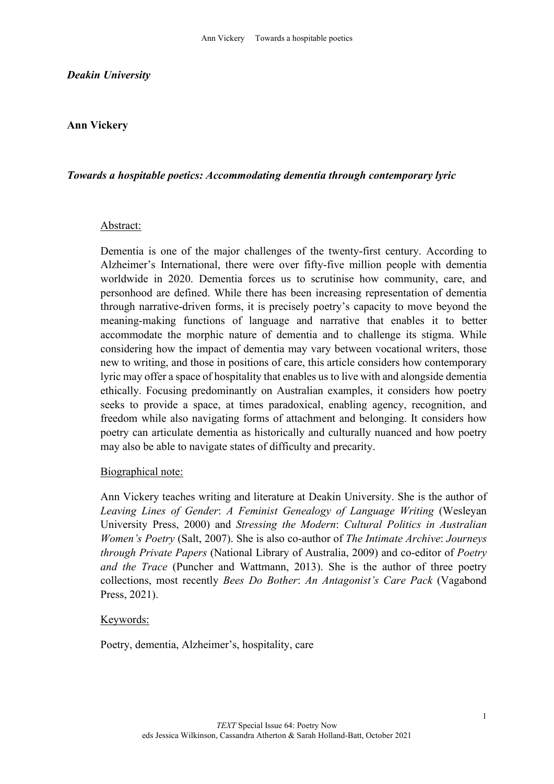#### *Deakin University*

### **Ann Vickery**

#### *Towards a hospitable poetics: Accommodating dementia through contemporary lyric*

#### Abstract:

Dementia is one of the major challenges of the twenty-first century. According to Alzheimer's International, there were over fifty-five million people with dementia worldwide in 2020. Dementia forces us to scrutinise how community, care, and personhood are defined. While there has been increasing representation of dementia through narrative-driven forms, it is precisely poetry's capacity to move beyond the meaning-making functions of language and narrative that enables it to better accommodate the morphic nature of dementia and to challenge its stigma. While considering how the impact of dementia may vary between vocational writers, those new to writing, and those in positions of care, this article considers how contemporary lyric may offer a space of hospitality that enables us to live with and alongside dementia ethically. Focusing predominantly on Australian examples, it considers how poetry seeks to provide a space, at times paradoxical, enabling agency, recognition, and freedom while also navigating forms of attachment and belonging. It considers how poetry can articulate dementia as historically and culturally nuanced and how poetry may also be able to navigate states of difficulty and precarity.

#### Biographical note:

Ann Vickery teaches writing and literature at Deakin University. She is the author of *Leaving Lines of Gender*: *A Feminist Genealogy of Language Writing* (Wesleyan University Press, 2000) and *Stressing the Modern*: *Cultural Politics in Australian Women's Poetry* (Salt, 2007). She is also co-author of *The Intimate Archive*: *Journeys through Private Papers* (National Library of Australia, 2009) and co-editor of *Poetry and the Trace* (Puncher and Wattmann, 2013). She is the author of three poetry collections, most recently *Bees Do Bother*: *An Antagonist's Care Pack* (Vagabond Press, 2021).

#### Keywords:

Poetry, dementia, Alzheimer's, hospitality, care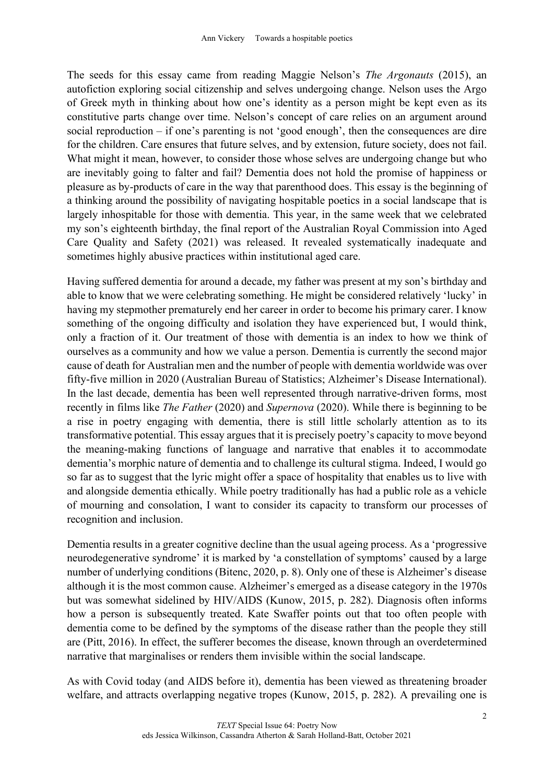The seeds for this essay came from reading Maggie Nelson's *The Argonauts* (2015), an autofiction exploring social citizenship and selves undergoing change. Nelson uses the Argo of Greek myth in thinking about how one's identity as a person might be kept even as its constitutive parts change over time. Nelson's concept of care relies on an argument around social reproduction – if one's parenting is not 'good enough', then the consequences are dire for the children. Care ensures that future selves, and by extension, future society, does not fail. What might it mean, however, to consider those whose selves are undergoing change but who are inevitably going to falter and fail? Dementia does not hold the promise of happiness or pleasure as by-products of care in the way that parenthood does. This essay is the beginning of a thinking around the possibility of navigating hospitable poetics in a social landscape that is largely inhospitable for those with dementia. This year, in the same week that we celebrated my son's eighteenth birthday, the final report of the Australian Royal Commission into Aged Care Quality and Safety (2021) was released. It revealed systematically inadequate and sometimes highly abusive practices within institutional aged care.

Having suffered dementia for around a decade, my father was present at my son's birthday and able to know that we were celebrating something. He might be considered relatively 'lucky' in having my stepmother prematurely end her career in order to become his primary carer. I know something of the ongoing difficulty and isolation they have experienced but, I would think, only a fraction of it. Our treatment of those with dementia is an index to how we think of ourselves as a community and how we value a person. Dementia is currently the second major cause of death for Australian men and the number of people with dementia worldwide was over fifty-five million in 2020 (Australian Bureau of Statistics; Alzheimer's Disease International). In the last decade, dementia has been well represented through narrative-driven forms, most recently in films like *The Father* (2020) and *Supernova* (2020). While there is beginning to be a rise in poetry engaging with dementia, there is still little scholarly attention as to its transformative potential. This essay argues that it is precisely poetry's capacity to move beyond the meaning-making functions of language and narrative that enables it to accommodate dementia's morphic nature of dementia and to challenge its cultural stigma. Indeed, I would go so far as to suggest that the lyric might offer a space of hospitality that enables us to live with and alongside dementia ethically. While poetry traditionally has had a public role as a vehicle of mourning and consolation, I want to consider its capacity to transform our processes of recognition and inclusion.

Dementia results in a greater cognitive decline than the usual ageing process. As a 'progressive neurodegenerative syndrome' it is marked by 'a constellation of symptoms' caused by a large number of underlying conditions (Bitenc, 2020, p. 8). Only one of these is Alzheimer's disease although it is the most common cause. Alzheimer's emerged as a disease category in the 1970s but was somewhat sidelined by HIV/AIDS (Kunow, 2015, p. 282). Diagnosis often informs how a person is subsequently treated. Kate Swaffer points out that too often people with dementia come to be defined by the symptoms of the disease rather than the people they still are (Pitt, 2016). In effect, the sufferer becomes the disease, known through an overdetermined narrative that marginalises or renders them invisible within the social landscape.

As with Covid today (and AIDS before it), dementia has been viewed as threatening broader welfare, and attracts overlapping negative tropes (Kunow, 2015, p. 282). A prevailing one is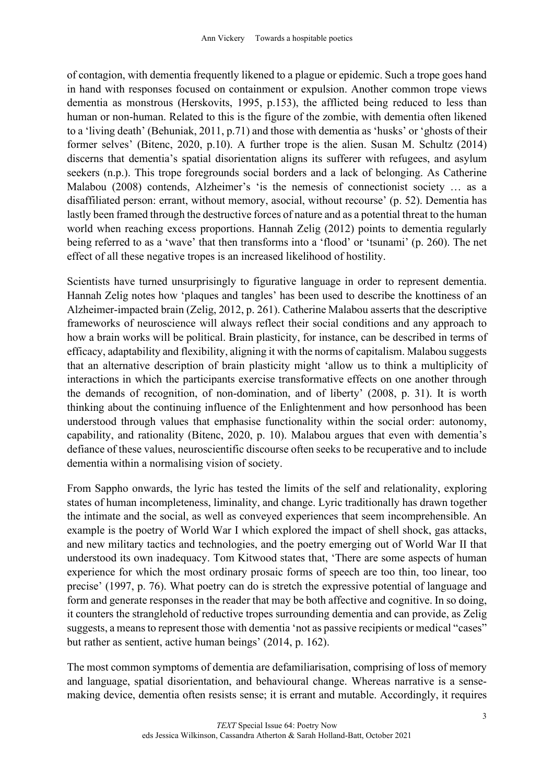of contagion, with dementia frequently likened to a plague or epidemic. Such a trope goes hand in hand with responses focused on containment or expulsion. Another common trope views dementia as monstrous (Herskovits, 1995, p.153), the afflicted being reduced to less than human or non-human. Related to this is the figure of the zombie, with dementia often likened to a 'living death' (Behuniak, 2011, p.71) and those with dementia as 'husks' or 'ghosts of their former selves' (Bitenc, 2020, p.10). A further trope is the alien. Susan M. Schultz (2014) discerns that dementia's spatial disorientation aligns its sufferer with refugees, and asylum seekers (n.p.). This trope foregrounds social borders and a lack of belonging. As Catherine Malabou (2008) contends, Alzheimer's 'is the nemesis of connectionist society … as a disaffiliated person: errant, without memory, asocial, without recourse' (p. 52). Dementia has lastly been framed through the destructive forces of nature and as a potential threat to the human world when reaching excess proportions. Hannah Zelig (2012) points to dementia regularly being referred to as a 'wave' that then transforms into a 'flood' or 'tsunami' (p. 260). The net effect of all these negative tropes is an increased likelihood of hostility.

Scientists have turned unsurprisingly to figurative language in order to represent dementia. Hannah Zelig notes how 'plaques and tangles' has been used to describe the knottiness of an Alzheimer-impacted brain (Zelig, 2012, p. 261). Catherine Malabou asserts that the descriptive frameworks of neuroscience will always reflect their social conditions and any approach to how a brain works will be political. Brain plasticity, for instance, can be described in terms of efficacy, adaptability and flexibility, aligning it with the norms of capitalism. Malabou suggests that an alternative description of brain plasticity might 'allow us to think a multiplicity of interactions in which the participants exercise transformative effects on one another through the demands of recognition, of non-domination, and of liberty' (2008, p. 31). It is worth thinking about the continuing influence of the Enlightenment and how personhood has been understood through values that emphasise functionality within the social order: autonomy, capability, and rationality (Bitenc, 2020, p. 10). Malabou argues that even with dementia's defiance of these values, neuroscientific discourse often seeks to be recuperative and to include dementia within a normalising vision of society.

From Sappho onwards, the lyric has tested the limits of the self and relationality, exploring states of human incompleteness, liminality, and change. Lyric traditionally has drawn together the intimate and the social, as well as conveyed experiences that seem incomprehensible. An example is the poetry of World War I which explored the impact of shell shock, gas attacks, and new military tactics and technologies, and the poetry emerging out of World War II that understood its own inadequacy. Tom Kitwood states that, 'There are some aspects of human experience for which the most ordinary prosaic forms of speech are too thin, too linear, too precise' (1997, p. 76). What poetry can do is stretch the expressive potential of language and form and generate responses in the reader that may be both affective and cognitive. In so doing, it counters the stranglehold of reductive tropes surrounding dementia and can provide, as Zelig suggests, a means to represent those with dementia 'not as passive recipients or medical "cases" but rather as sentient, active human beings' (2014, p. 162).

The most common symptoms of dementia are defamiliarisation, comprising of loss of memory and language, spatial disorientation, and behavioural change. Whereas narrative is a sensemaking device, dementia often resists sense; it is errant and mutable. Accordingly, it requires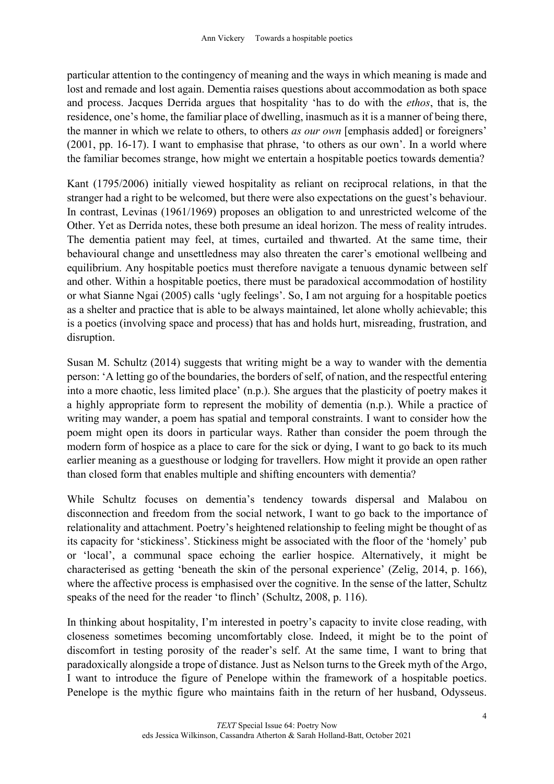particular attention to the contingency of meaning and the ways in which meaning is made and lost and remade and lost again. Dementia raises questions about accommodation as both space and process. Jacques Derrida argues that hospitality 'has to do with the *ethos*, that is, the residence, one's home, the familiar place of dwelling, inasmuch as it is a manner of being there, the manner in which we relate to others, to others *as our own* [emphasis added] or foreigners' (2001, pp. 16-17). I want to emphasise that phrase, 'to others as our own'. In a world where the familiar becomes strange, how might we entertain a hospitable poetics towards dementia?

Kant (1795/2006) initially viewed hospitality as reliant on reciprocal relations, in that the stranger had a right to be welcomed, but there were also expectations on the guest's behaviour. In contrast, Levinas (1961/1969) proposes an obligation to and unrestricted welcome of the Other. Yet as Derrida notes, these both presume an ideal horizon. The mess of reality intrudes. The dementia patient may feel, at times, curtailed and thwarted. At the same time, their behavioural change and unsettledness may also threaten the carer's emotional wellbeing and equilibrium. Any hospitable poetics must therefore navigate a tenuous dynamic between self and other. Within a hospitable poetics, there must be paradoxical accommodation of hostility or what Sianne Ngai (2005) calls 'ugly feelings'. So, I am not arguing for a hospitable poetics as a shelter and practice that is able to be always maintained, let alone wholly achievable; this is a poetics (involving space and process) that has and holds hurt, misreading, frustration, and disruption.

Susan M. Schultz (2014) suggests that writing might be a way to wander with the dementia person: 'A letting go of the boundaries, the borders of self, of nation, and the respectful entering into a more chaotic, less limited place' (n.p.). She argues that the plasticity of poetry makes it a highly appropriate form to represent the mobility of dementia (n.p.). While a practice of writing may wander, a poem has spatial and temporal constraints. I want to consider how the poem might open its doors in particular ways. Rather than consider the poem through the modern form of hospice as a place to care for the sick or dying, I want to go back to its much earlier meaning as a guesthouse or lodging for travellers. How might it provide an open rather than closed form that enables multiple and shifting encounters with dementia?

While Schultz focuses on dementia's tendency towards dispersal and Malabou on disconnection and freedom from the social network, I want to go back to the importance of relationality and attachment. Poetry's heightened relationship to feeling might be thought of as its capacity for 'stickiness'. Stickiness might be associated with the floor of the 'homely' pub or 'local', a communal space echoing the earlier hospice. Alternatively, it might be characterised as getting 'beneath the skin of the personal experience' (Zelig, 2014, p. 166), where the affective process is emphasised over the cognitive. In the sense of the latter, Schultz speaks of the need for the reader 'to flinch' (Schultz, 2008, p. 116).

In thinking about hospitality, I'm interested in poetry's capacity to invite close reading, with closeness sometimes becoming uncomfortably close. Indeed, it might be to the point of discomfort in testing porosity of the reader's self. At the same time, I want to bring that paradoxically alongside a trope of distance. Just as Nelson turns to the Greek myth of the Argo, I want to introduce the figure of Penelope within the framework of a hospitable poetics. Penelope is the mythic figure who maintains faith in the return of her husband, Odysseus.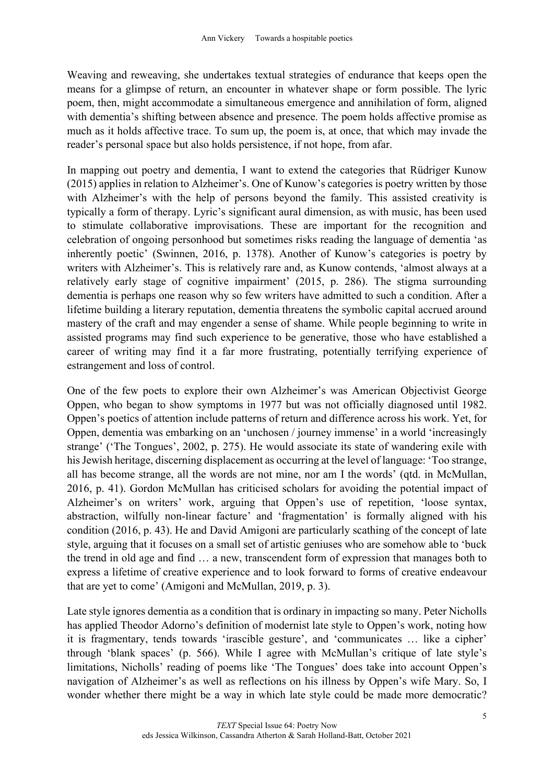Weaving and reweaving, she undertakes textual strategies of endurance that keeps open the means for a glimpse of return, an encounter in whatever shape or form possible. The lyric poem, then, might accommodate a simultaneous emergence and annihilation of form, aligned with dementia's shifting between absence and presence. The poem holds affective promise as much as it holds affective trace. To sum up, the poem is, at once, that which may invade the reader's personal space but also holds persistence, if not hope, from afar.

In mapping out poetry and dementia, I want to extend the categories that Rüdriger Kunow (2015) applies in relation to Alzheimer's. One of Kunow's categories is poetry written by those with Alzheimer's with the help of persons beyond the family. This assisted creativity is typically a form of therapy. Lyric's significant aural dimension, as with music, has been used to stimulate collaborative improvisations. These are important for the recognition and celebration of ongoing personhood but sometimes risks reading the language of dementia 'as inherently poetic' (Swinnen, 2016, p. 1378). Another of Kunow's categories is poetry by writers with Alzheimer's. This is relatively rare and, as Kunow contends, 'almost always at a relatively early stage of cognitive impairment' (2015, p. 286). The stigma surrounding dementia is perhaps one reason why so few writers have admitted to such a condition. After a lifetime building a literary reputation, dementia threatens the symbolic capital accrued around mastery of the craft and may engender a sense of shame. While people beginning to write in assisted programs may find such experience to be generative, those who have established a career of writing may find it a far more frustrating, potentially terrifying experience of estrangement and loss of control.

One of the few poets to explore their own Alzheimer's was American Objectivist George Oppen, who began to show symptoms in 1977 but was not officially diagnosed until 1982. Oppen's poetics of attention include patterns of return and difference across his work. Yet, for Oppen, dementia was embarking on an 'unchosen / journey immense' in a world 'increasingly strange' ('The Tongues', 2002, p. 275). He would associate its state of wandering exile with his Jewish heritage, discerning displacement as occurring at the level of language: 'Too strange, all has become strange, all the words are not mine, nor am I the words' (qtd. in McMullan, 2016, p. 41). Gordon McMullan has criticised scholars for avoiding the potential impact of Alzheimer's on writers' work, arguing that Oppen's use of repetition, 'loose syntax, abstraction, wilfully non-linear facture' and 'fragmentation' is formally aligned with his condition (2016, p. 43). He and David Amigoni are particularly scathing of the concept of late style, arguing that it focuses on a small set of artistic geniuses who are somehow able to 'buck the trend in old age and find … a new, transcendent form of expression that manages both to express a lifetime of creative experience and to look forward to forms of creative endeavour that are yet to come' (Amigoni and McMullan, 2019, p. 3).

Late style ignores dementia as a condition that is ordinary in impacting so many. Peter Nicholls has applied Theodor Adorno's definition of modernist late style to Oppen's work, noting how it is fragmentary, tends towards 'irascible gesture', and 'communicates … like a cipher' through 'blank spaces' (p. 566). While I agree with McMullan's critique of late style's limitations, Nicholls' reading of poems like 'The Tongues' does take into account Oppen's navigation of Alzheimer's as well as reflections on his illness by Oppen's wife Mary. So, I wonder whether there might be a way in which late style could be made more democratic?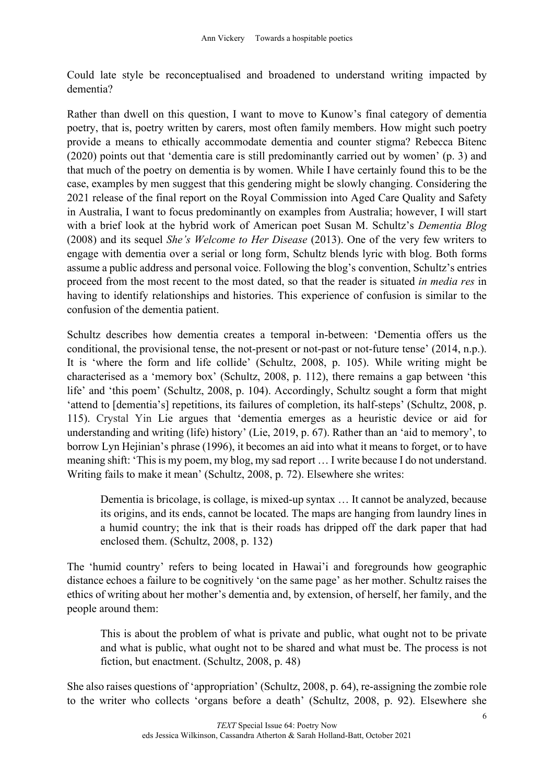Could late style be reconceptualised and broadened to understand writing impacted by dementia?

Rather than dwell on this question, I want to move to Kunow's final category of dementia poetry, that is, poetry written by carers, most often family members. How might such poetry provide a means to ethically accommodate dementia and counter stigma? Rebecca Bitenc (2020) points out that 'dementia care is still predominantly carried out by women' (p. 3) and that much of the poetry on dementia is by women. While I have certainly found this to be the case, examples by men suggest that this gendering might be slowly changing. Considering the 2021 release of the final report on the Royal Commission into Aged Care Quality and Safety in Australia, I want to focus predominantly on examples from Australia; however, I will start with a brief look at the hybrid work of American poet Susan M. Schultz's *Dementia Blog* (2008) and its sequel *She's Welcome to Her Disease* (2013). One of the very few writers to engage with dementia over a serial or long form, Schultz blends lyric with blog. Both forms assume a public address and personal voice. Following the blog's convention, Schultz's entries proceed from the most recent to the most dated, so that the reader is situated *in media res* in having to identify relationships and histories. This experience of confusion is similar to the confusion of the dementia patient.

Schultz describes how dementia creates a temporal in-between: 'Dementia offers us the conditional, the provisional tense, the not-present or not-past or not-future tense' (2014, n.p.). It is 'where the form and life collide' (Schultz, 2008, p. 105). While writing might be characterised as a 'memory box' (Schultz, 2008, p. 112), there remains a gap between 'this life' and 'this poem' (Schultz, 2008, p. 104). Accordingly, Schultz sought a form that might 'attend to [dementia's] repetitions, its failures of completion, its half-steps' (Schultz, 2008, p. 115). Crystal Yin Lie argues that 'dementia emerges as a heuristic device or aid for understanding and writing (life) history' (Lie, 2019, p. 67). Rather than an 'aid to memory', to borrow Lyn Hejinian's phrase (1996), it becomes an aid into what it means to forget, or to have meaning shift: 'This is my poem, my blog, my sad report … I write because I do not understand. Writing fails to make it mean' (Schultz, 2008, p. 72). Elsewhere she writes:

Dementia is bricolage, is collage, is mixed-up syntax … It cannot be analyzed, because its origins, and its ends, cannot be located. The maps are hanging from laundry lines in a humid country; the ink that is their roads has dripped off the dark paper that had enclosed them. (Schultz, 2008, p. 132)

The 'humid country' refers to being located in Hawai'i and foregrounds how geographic distance echoes a failure to be cognitively 'on the same page' as her mother. Schultz raises the ethics of writing about her mother's dementia and, by extension, of herself, her family, and the people around them:

This is about the problem of what is private and public, what ought not to be private and what is public, what ought not to be shared and what must be. The process is not fiction, but enactment. (Schultz, 2008, p. 48)

She also raises questions of 'appropriation' (Schultz, 2008, p. 64), re-assigning the zombie role to the writer who collects 'organs before a death' (Schultz, 2008, p. 92). Elsewhere she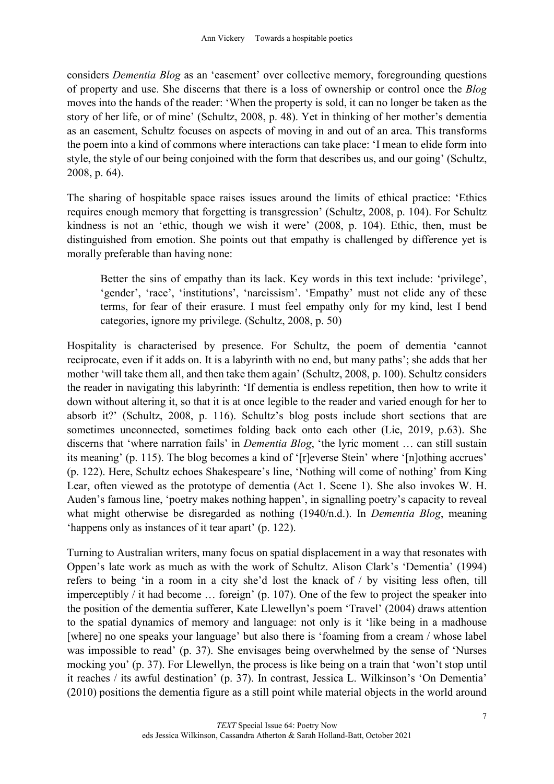considers *Dementia Blog* as an 'easement' over collective memory, foregrounding questions of property and use. She discerns that there is a loss of ownership or control once the *Blog* moves into the hands of the reader: 'When the property is sold, it can no longer be taken as the story of her life, or of mine' (Schultz, 2008, p. 48). Yet in thinking of her mother's dementia as an easement, Schultz focuses on aspects of moving in and out of an area. This transforms the poem into a kind of commons where interactions can take place: 'I mean to elide form into style, the style of our being conjoined with the form that describes us, and our going' (Schultz, 2008, p. 64).

The sharing of hospitable space raises issues around the limits of ethical practice: 'Ethics requires enough memory that forgetting is transgression' (Schultz, 2008, p. 104). For Schultz kindness is not an 'ethic, though we wish it were' (2008, p. 104). Ethic, then, must be distinguished from emotion. She points out that empathy is challenged by difference yet is morally preferable than having none:

Better the sins of empathy than its lack. Key words in this text include: 'privilege', 'gender', 'race', 'institutions', 'narcissism'. 'Empathy' must not elide any of these terms, for fear of their erasure. I must feel empathy only for my kind, lest I bend categories, ignore my privilege. (Schultz, 2008, p. 50)

Hospitality is characterised by presence. For Schultz, the poem of dementia 'cannot reciprocate, even if it adds on. It is a labyrinth with no end, but many paths'; she adds that her mother 'will take them all, and then take them again' (Schultz, 2008, p. 100). Schultz considers the reader in navigating this labyrinth: 'If dementia is endless repetition, then how to write it down without altering it, so that it is at once legible to the reader and varied enough for her to absorb it?' (Schultz, 2008, p. 116). Schultz's blog posts include short sections that are sometimes unconnected, sometimes folding back onto each other (Lie, 2019, p.63). She discerns that 'where narration fails' in *Dementia Blog*, 'the lyric moment … can still sustain its meaning' (p. 115). The blog becomes a kind of '[r]everse Stein' where '[n]othing accrues' (p. 122). Here, Schultz echoes Shakespeare's line, 'Nothing will come of nothing' from King Lear, often viewed as the prototype of dementia (Act 1. Scene 1). She also invokes W. H. Auden's famous line, 'poetry makes nothing happen', in signalling poetry's capacity to reveal what might otherwise be disregarded as nothing (1940/n.d.). In *Dementia Blog*, meaning 'happens only as instances of it tear apart' (p. 122).

Turning to Australian writers, many focus on spatial displacement in a way that resonates with Oppen's late work as much as with the work of Schultz. Alison Clark's 'Dementia' (1994) refers to being 'in a room in a city she'd lost the knack of / by visiting less often, till imperceptibly / it had become … foreign' (p. 107). One of the few to project the speaker into the position of the dementia sufferer, Kate Llewellyn's poem 'Travel' (2004) draws attention to the spatial dynamics of memory and language: not only is it 'like being in a madhouse [where] no one speaks your language' but also there is 'foaming from a cream / whose label was impossible to read' (p. 37). She envisages being overwhelmed by the sense of 'Nurses mocking you' (p. 37). For Llewellyn, the process is like being on a train that 'won't stop until it reaches / its awful destination' (p. 37). In contrast, Jessica L. Wilkinson's 'On Dementia' (2010) positions the dementia figure as a still point while material objects in the world around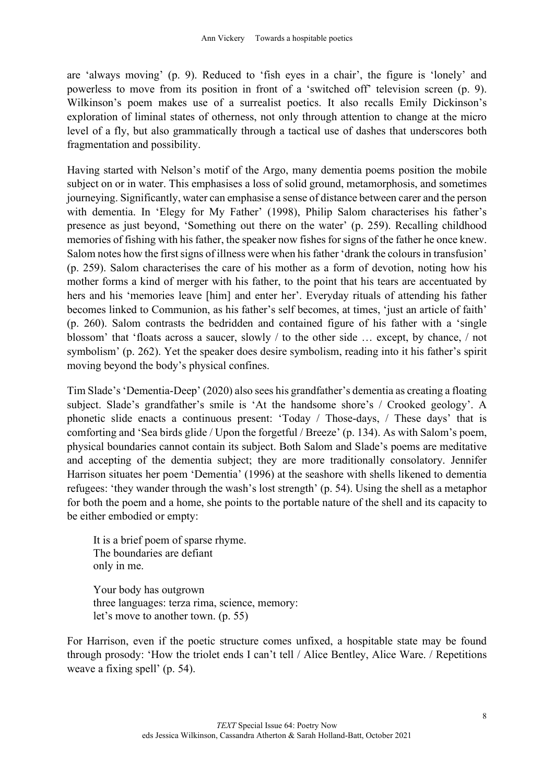are 'always moving' (p. 9). Reduced to 'fish eyes in a chair', the figure is 'lonely' and powerless to move from its position in front of a 'switched off' television screen (p. 9). Wilkinson's poem makes use of a surrealist poetics. It also recalls Emily Dickinson's exploration of liminal states of otherness, not only through attention to change at the micro level of a fly, but also grammatically through a tactical use of dashes that underscores both fragmentation and possibility.

Having started with Nelson's motif of the Argo, many dementia poems position the mobile subject on or in water. This emphasises a loss of solid ground, metamorphosis, and sometimes journeying. Significantly, water can emphasise a sense of distance between carer and the person with dementia. In 'Elegy for My Father' (1998), Philip Salom characterises his father's presence as just beyond, 'Something out there on the water' (p. 259). Recalling childhood memories of fishing with his father, the speaker now fishes for signs of the father he once knew. Salom notes how the first signs of illness were when his father 'drank the colours in transfusion' (p. 259). Salom characterises the care of his mother as a form of devotion, noting how his mother forms a kind of merger with his father, to the point that his tears are accentuated by hers and his 'memories leave [him] and enter her'. Everyday rituals of attending his father becomes linked to Communion, as his father's self becomes, at times, 'just an article of faith' (p. 260). Salom contrasts the bedridden and contained figure of his father with a 'single blossom' that 'floats across a saucer, slowly / to the other side … except, by chance, / not symbolism' (p. 262). Yet the speaker does desire symbolism, reading into it his father's spirit moving beyond the body's physical confines.

Tim Slade's 'Dementia-Deep' (2020) also sees his grandfather's dementia as creating a floating subject. Slade's grandfather's smile is 'At the handsome shore's / Crooked geology'. A phonetic slide enacts a continuous present: 'Today / Those-days, / These days' that is comforting and 'Sea birds glide / Upon the forgetful / Breeze' (p. 134). As with Salom's poem, physical boundaries cannot contain its subject. Both Salom and Slade's poems are meditative and accepting of the dementia subject; they are more traditionally consolatory. Jennifer Harrison situates her poem 'Dementia' (1996) at the seashore with shells likened to dementia refugees: 'they wander through the wash's lost strength' (p. 54). Using the shell as a metaphor for both the poem and a home, she points to the portable nature of the shell and its capacity to be either embodied or empty:

It is a brief poem of sparse rhyme. The boundaries are defiant only in me.

Your body has outgrown three languages: terza rima, science, memory: let's move to another town. (p. 55)

For Harrison, even if the poetic structure comes unfixed, a hospitable state may be found through prosody: 'How the triolet ends I can't tell / Alice Bentley, Alice Ware. / Repetitions weave a fixing spell' (p. 54).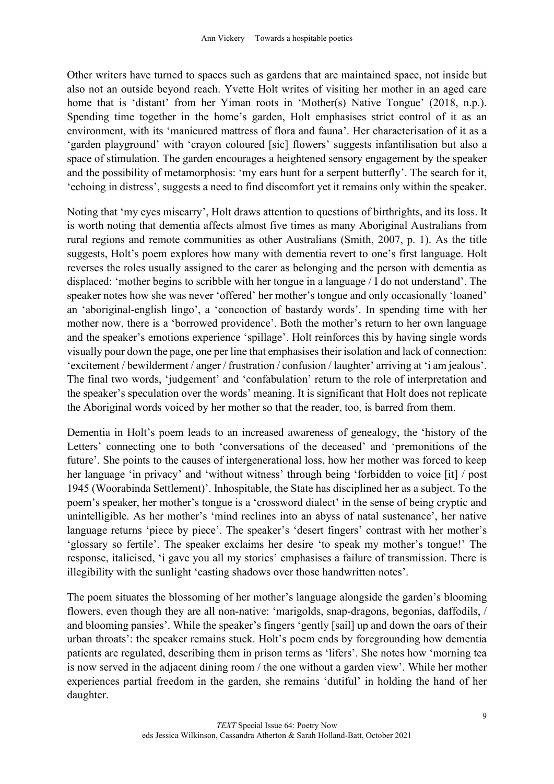Other writers have turned to spaces such as gardens that are maintained space, not inside but also not an outside beyond reach. Yvette Holt writes of visiting her mother in an aged care home that is 'distant' from her Yiman roots in 'Mother(s) Native Tongue' (2018, n.p.). Spending time together in the home's garden, Holt emphasises strict control of it as an environment, with its 'manicured mattress of flora and fauna'. Her characterisation of it as a 'garden playground' with 'crayon coloured [sic] flowers' suggests infantilisation but also a space of stimulation. The garden encourages a heightened sensory engagement by the speaker and the possibility of metamorphosis: 'my ears hunt for a serpent butterfly'. The search for it, 'echoing in distress', suggests a need to find discomfort yet it remains only within the speaker.

Noting that 'my eyes miscarry', Holt draws attention to questions of birthrights, and its loss. It is worth noting that dementia affects almost five times as many Aboriginal Australians from rural regions and remote communities as other Australians (Smith, 2007, p. 1). As the title suggests, Holt's poem explores how many with dementia revert to one's first language. Holt reverses the roles usually assigned to the carer as belonging and the person with dementia as displaced: 'mother begins to scribble with her tongue in a language / I do not understand'. The speaker notes how she was never 'offered' her mother's tongue and only occasionally 'loaned' an 'aboriginal-english lingo', a 'concoction of bastardy words'. In spending time with her mother now, there is a 'borrowed providence'. Both the mother's return to her own language and the speaker's emotions experience 'spillage'. Holt reinforces this by having single words visually pour down the page, one per line that emphasises their isolation and lack of connection: 'excitement / bewilderment / anger / frustration / confusion / laughter' arriving at 'i am jealous'. The final two words, 'judgement' and 'confabulation' return to the role of interpretation and the speaker's speculation over the words' meaning. It is significant that Holt does not replicate the Aboriginal words voiced by her mother so that the reader, too, is barred from them.

Dementia in Holt's poem leads to an increased awareness of genealogy, the 'history of the Letters' connecting one to both 'conversations of the deceased' and 'premonitions of the future'. She points to the causes of intergenerational loss, how her mother was forced to keep her language 'in privacy' and 'without witness' through being 'forbidden to voice [it] / post 1945 (Woorabinda Settlement)'. Inhospitable, the State has disciplined her as a subject. To the poem's speaker, her mother's tongue is a 'crossword dialect' in the sense of being cryptic and unintelligible. As her mother's 'mind reclines into an abyss of natal sustenance', her native language returns 'piece by piece'. The speaker's 'desert fingers' contrast with her mother's 'glossary so fertile'. The speaker exclaims her desire 'to speak my mother's tongue!' The response, italicised, 'i gave you all my stories' emphasises a failure of transmission. There is illegibility with the sunlight 'casting shadows over those handwritten notes'.

The poem situates the blossoming of her mother's language alongside the garden's blooming flowers, even though they are all non-native: 'marigolds, snap-dragons, begonias, daffodils, / and blooming pansies'. While the speaker's fingers 'gently [sail] up and down the oars of their urban throats': the speaker remains stuck. Holt's poem ends by foregrounding how dementia patients are regulated, describing them in prison terms as 'lifers'. She notes how 'morning tea is now served in the adjacent dining room / the one without a garden view'. While her mother experiences partial freedom in the garden, she remains 'dutiful' in holding the hand of her daughter.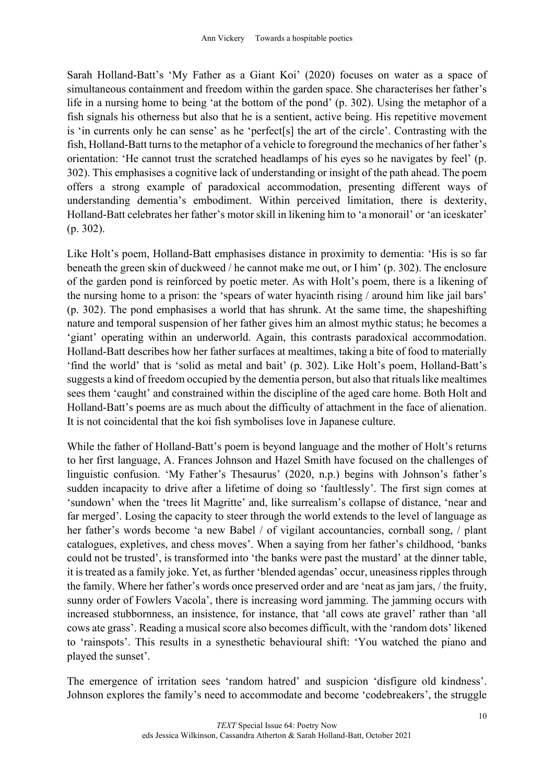Sarah Holland-Batt's 'My Father as a Giant Koi' (2020) focuses on water as a space of simultaneous containment and freedom within the garden space. She characterises her father's life in a nursing home to being 'at the bottom of the pond' (p. 302). Using the metaphor of a fish signals his otherness but also that he is a sentient, active being. His repetitive movement is 'in currents only he can sense' as he 'perfect[s] the art of the circle'. Contrasting with the fish, Holland-Batt turns to the metaphor of a vehicle to foreground the mechanics of her father's orientation: 'He cannot trust the scratched headlamps of his eyes so he navigates by feel' (p. 302). This emphasises a cognitive lack of understanding or insight of the path ahead. The poem offers a strong example of paradoxical accommodation, presenting different ways of understanding dementia's embodiment. Within perceived limitation, there is dexterity, Holland-Batt celebrates her father's motor skill in likening him to 'a monorail' or 'an iceskater' (p. 302).

Like Holt's poem, Holland-Batt emphasises distance in proximity to dementia: 'His is so far beneath the green skin of duckweed / he cannot make me out, or I him' (p. 302). The enclosure of the garden pond is reinforced by poetic meter. As with Holt's poem, there is a likening of the nursing home to a prison: the 'spears of water hyacinth rising / around him like jail bars' (p. 302). The pond emphasises a world that has shrunk. At the same time, the shapeshifting nature and temporal suspension of her father gives him an almost mythic status; he becomes a 'giant' operating within an underworld. Again, this contrasts paradoxical accommodation. Holland-Batt describes how her father surfaces at mealtimes, taking a bite of food to materially 'find the world' that is 'solid as metal and bait' (p. 302). Like Holt's poem, Holland-Batt's suggests a kind of freedom occupied by the dementia person, but also that rituals like mealtimes sees them 'caught' and constrained within the discipline of the aged care home. Both Holt and Holland-Batt's poems are as much about the difficulty of attachment in the face of alienation. It is not coincidental that the koi fish symbolises love in Japanese culture.

While the father of Holland-Batt's poem is beyond language and the mother of Holt's returns to her first language, A. Frances Johnson and Hazel Smith have focused on the challenges of linguistic confusion. 'My Father's Thesaurus' (2020, n.p.) begins with Johnson's father's sudden incapacity to drive after a lifetime of doing so 'faultlessly'. The first sign comes at 'sundown' when the 'trees lit Magritte' and, like surrealism's collapse of distance, 'near and far merged'. Losing the capacity to steer through the world extends to the level of language as her father's words become 'a new Babel / of vigilant accountancies, cornball song, / plant catalogues, expletives, and chess moves'. When a saying from her father's childhood, 'banks could not be trusted', is transformed into 'the banks were past the mustard' at the dinner table, it is treated as a family joke. Yet, as further 'blended agendas' occur, uneasiness ripples through the family. Where her father's words once preserved order and are 'neat as jam jars, / the fruity, sunny order of Fowlers Vacola', there is increasing word jamming. The jamming occurs with increased stubbornness, an insistence, for instance, that 'all cows ate gravel' rather than 'all cows ate grass'. Reading a musical score also becomes difficult, with the 'random dots' likened to 'rainspots'. This results in a synesthetic behavioural shift: 'You watched the piano and played the sunset'.

The emergence of irritation sees 'random hatred' and suspicion 'disfigure old kindness'. Johnson explores the family's need to accommodate and become 'codebreakers', the struggle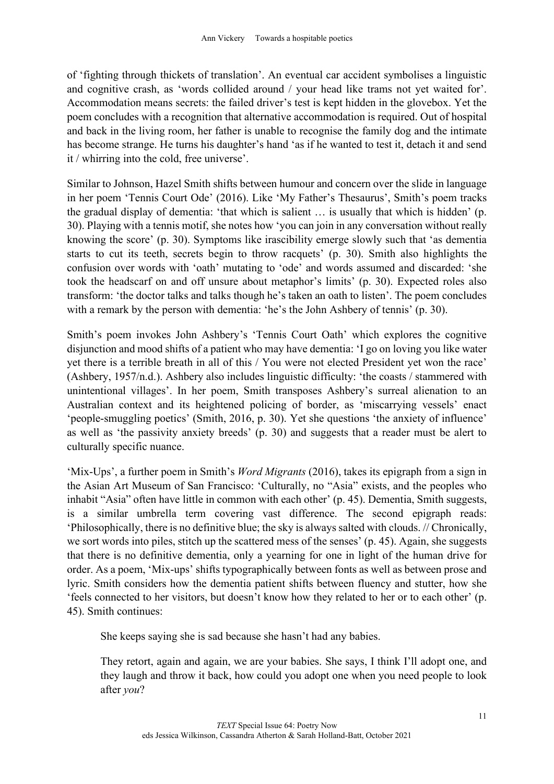of 'fighting through thickets of translation'. An eventual car accident symbolises a linguistic and cognitive crash, as 'words collided around / your head like trams not yet waited for'. Accommodation means secrets: the failed driver's test is kept hidden in the glovebox. Yet the poem concludes with a recognition that alternative accommodation is required. Out of hospital and back in the living room, her father is unable to recognise the family dog and the intimate has become strange. He turns his daughter's hand 'as if he wanted to test it, detach it and send it / whirring into the cold, free universe'.

Similar to Johnson, Hazel Smith shifts between humour and concern over the slide in language in her poem 'Tennis Court Ode' (2016). Like 'My Father's Thesaurus', Smith's poem tracks the gradual display of dementia: 'that which is salient … is usually that which is hidden' (p. 30). Playing with a tennis motif, she notes how 'you can join in any conversation without really knowing the score' (p. 30). Symptoms like irascibility emerge slowly such that 'as dementia starts to cut its teeth, secrets begin to throw racquets' (p. 30). Smith also highlights the confusion over words with 'oath' mutating to 'ode' and words assumed and discarded: 'she took the headscarf on and off unsure about metaphor's limits' (p. 30). Expected roles also transform: 'the doctor talks and talks though he's taken an oath to listen'. The poem concludes with a remark by the person with dementia: 'he's the John Ashbery of tennis' (p. 30).

Smith's poem invokes John Ashbery's 'Tennis Court Oath' which explores the cognitive disjunction and mood shifts of a patient who may have dementia: 'I go on loving you like water yet there is a terrible breath in all of this / You were not elected President yet won the race' (Ashbery, 1957/n.d.). Ashbery also includes linguistic difficulty: 'the coasts / stammered with unintentional villages'. In her poem, Smith transposes Ashbery's surreal alienation to an Australian context and its heightened policing of border, as 'miscarrying vessels' enact 'people-smuggling poetics' (Smith, 2016, p. 30). Yet she questions 'the anxiety of influence' as well as 'the passivity anxiety breeds' (p. 30) and suggests that a reader must be alert to culturally specific nuance.

'Mix-Ups', a further poem in Smith's *Word Migrants* (2016), takes its epigraph from a sign in the Asian Art Museum of San Francisco: 'Culturally, no "Asia" exists, and the peoples who inhabit "Asia" often have little in common with each other' (p. 45). Dementia, Smith suggests, is a similar umbrella term covering vast difference. The second epigraph reads: 'Philosophically, there is no definitive blue; the sky is always salted with clouds. // Chronically, we sort words into piles, stitch up the scattered mess of the senses' (p. 45). Again, she suggests that there is no definitive dementia, only a yearning for one in light of the human drive for order. As a poem, 'Mix-ups' shifts typographically between fonts as well as between prose and lyric. Smith considers how the dementia patient shifts between fluency and stutter, how she 'feels connected to her visitors, but doesn't know how they related to her or to each other' (p. 45). Smith continues:

She keeps saying she is sad because she hasn't had any babies.

They retort, again and again, we are your babies. She says, I think I'll adopt one, and they laugh and throw it back, how could you adopt one when you need people to look after *you*?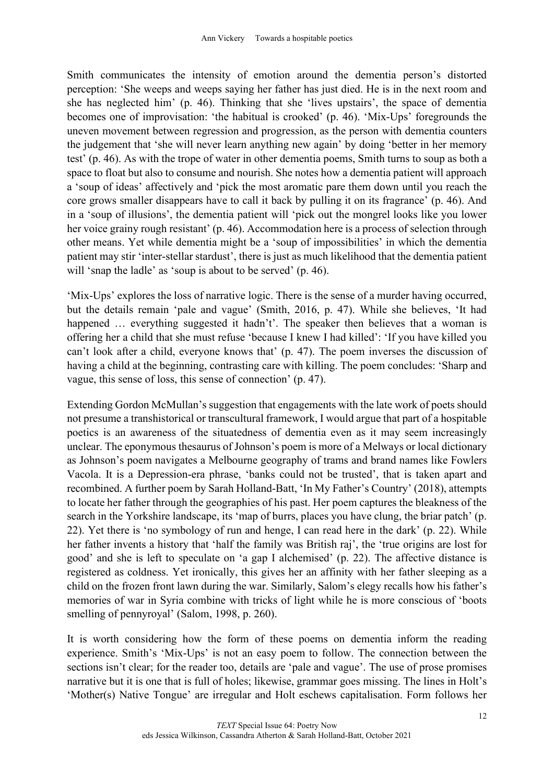Smith communicates the intensity of emotion around the dementia person's distorted perception: 'She weeps and weeps saying her father has just died. He is in the next room and she has neglected him' (p. 46). Thinking that she 'lives upstairs', the space of dementia becomes one of improvisation: 'the habitual is crooked' (p. 46). 'Mix-Ups' foregrounds the uneven movement between regression and progression, as the person with dementia counters the judgement that 'she will never learn anything new again' by doing 'better in her memory test' (p. 46). As with the trope of water in other dementia poems, Smith turns to soup as both a space to float but also to consume and nourish. She notes how a dementia patient will approach a 'soup of ideas' affectively and 'pick the most aromatic pare them down until you reach the core grows smaller disappears have to call it back by pulling it on its fragrance' (p. 46). And in a 'soup of illusions', the dementia patient will 'pick out the mongrel looks like you lower her voice grainy rough resistant' (p. 46). Accommodation here is a process of selection through other means. Yet while dementia might be a 'soup of impossibilities' in which the dementia patient may stir 'inter-stellar stardust', there is just as much likelihood that the dementia patient will 'snap the ladle' as 'soup is about to be served' (p. 46).

'Mix-Ups' explores the loss of narrative logic. There is the sense of a murder having occurred, but the details remain 'pale and vague' (Smith, 2016, p. 47). While she believes, 'It had happened ... everything suggested it hadn't'. The speaker then believes that a woman is offering her a child that she must refuse 'because I knew I had killed': 'If you have killed you can't look after a child, everyone knows that' (p. 47). The poem inverses the discussion of having a child at the beginning, contrasting care with killing. The poem concludes: 'Sharp and vague, this sense of loss, this sense of connection' (p. 47).

Extending Gordon McMullan's suggestion that engagements with the late work of poets should not presume a transhistorical or transcultural framework, I would argue that part of a hospitable poetics is an awareness of the situatedness of dementia even as it may seem increasingly unclear. The eponymous thesaurus of Johnson's poem is more of a Melways or local dictionary as Johnson's poem navigates a Melbourne geography of trams and brand names like Fowlers Vacola. It is a Depression-era phrase, 'banks could not be trusted', that is taken apart and recombined. A further poem by Sarah Holland-Batt, 'In My Father's Country' (2018), attempts to locate her father through the geographies of his past. Her poem captures the bleakness of the search in the Yorkshire landscape, its 'map of burrs, places you have clung, the briar patch' (p. 22). Yet there is 'no symbology of run and henge, I can read here in the dark' (p. 22). While her father invents a history that 'half the family was British raj', the 'true origins are lost for good' and she is left to speculate on 'a gap I alchemised' (p. 22). The affective distance is registered as coldness. Yet ironically, this gives her an affinity with her father sleeping as a child on the frozen front lawn during the war. Similarly, Salom's elegy recalls how his father's memories of war in Syria combine with tricks of light while he is more conscious of 'boots smelling of pennyroyal' (Salom, 1998, p. 260).

It is worth considering how the form of these poems on dementia inform the reading experience. Smith's 'Mix-Ups' is not an easy poem to follow. The connection between the sections isn't clear; for the reader too, details are 'pale and vague'. The use of prose promises narrative but it is one that is full of holes; likewise, grammar goes missing. The lines in Holt's 'Mother(s) Native Tongue' are irregular and Holt eschews capitalisation. Form follows her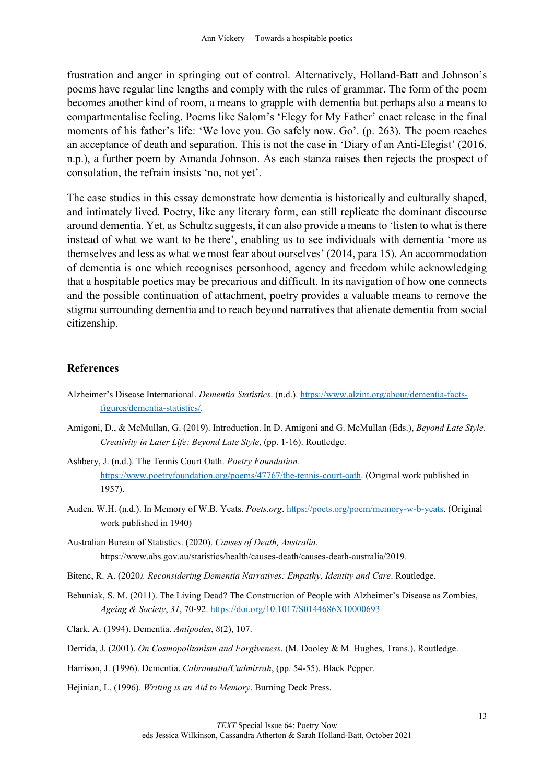frustration and anger in springing out of control. Alternatively, Holland-Batt and Johnson's poems have regular line lengths and comply with the rules of grammar. The form of the poem becomes another kind of room, a means to grapple with dementia but perhaps also a means to compartmentalise feeling. Poems like Salom's 'Elegy for My Father' enact release in the final moments of his father's life: 'We love you. Go safely now. Go'. (p. 263). The poem reaches an acceptance of death and separation. This is not the case in 'Diary of an Anti-Elegist' (2016, n.p.), a further poem by Amanda Johnson. As each stanza raises then rejects the prospect of consolation, the refrain insists 'no, not yet'.

The case studies in this essay demonstrate how dementia is historically and culturally shaped, and intimately lived. Poetry, like any literary form, can still replicate the dominant discourse around dementia. Yet, as Schultz suggests, it can also provide a means to 'listen to what is there instead of what we want to be there', enabling us to see individuals with dementia 'more as themselves and less as what we most fear about ourselves' (2014, para 15). An accommodation of dementia is one which recognises personhood, agency and freedom while acknowledging that a hospitable poetics may be precarious and difficult. In its navigation of how one connects and the possible continuation of attachment, poetry provides a valuable means to remove the stigma surrounding dementia and to reach beyond narratives that alienate dementia from social citizenship.

#### **References**

- Alzheimer's Disease International. *Dementia Statistics*. (n.d.). [https://www.alzint.org/about/dementia-facts](https://www.alzint.org/about/dementia-facts-figures/dementia-statistics/)[figures/dementia-statistics/.](https://www.alzint.org/about/dementia-facts-figures/dementia-statistics/)
- Amigoni, D., & McMullan, G. (2019). Introduction. In D. Amigoni and G. McMullan (Eds.), *Beyond Late Style. Creativity in Later Life: Beyond Late Style*, (pp. 1-16). Routledge.
- Ashbery, J. (n.d.). The Tennis Court Oath. *Poetry Foundation.* [https://www.poetryfoundation.org/poems/47767/the-tennis-court-oath.](https://www.poetryfoundation.org/poems/47767/the-tennis-court-oath) (Original work published in 1957).
- Auden, W.H. (n.d.). In Memory of W.B. Yeats. *Poets.org*. [https://poets.org/poem/memory-w-b-yeats.](https://poets.org/poem/memory-w-b-yeats) (Original work published in 1940)
- Australian Bureau of Statistics. (2020). *Causes of Death, Australia*. https://www.abs.gov.au/statistics/health/causes-death/causes-death-australia/2019.
- Bitenc, R. A. (2020*). Reconsidering Dementia Narratives: Empathy, Identity and Care*. Routledge.
- Behuniak, S. M. (2011). The Living Dead? The Construction of People with Alzheimer's Disease as Zombies, *Ageing & Society*, *31*, 70-92.<https://doi.org/10.1017/S0144686X10000693>

Clark, A. (1994). Dementia. *Antipodes*, *8*(2), 107.

- Derrida, J. (2001). *On Cosmopolitanism and Forgiveness*. (M. Dooley & M. Hughes, Trans.). Routledge.
- Harrison, J. (1996). Dementia. *Cabramatta/Cudmirrah*, (pp. 54-55). Black Pepper.
- Hejinian, L. (1996). *Writing is an Aid to Memory*. Burning Deck Press.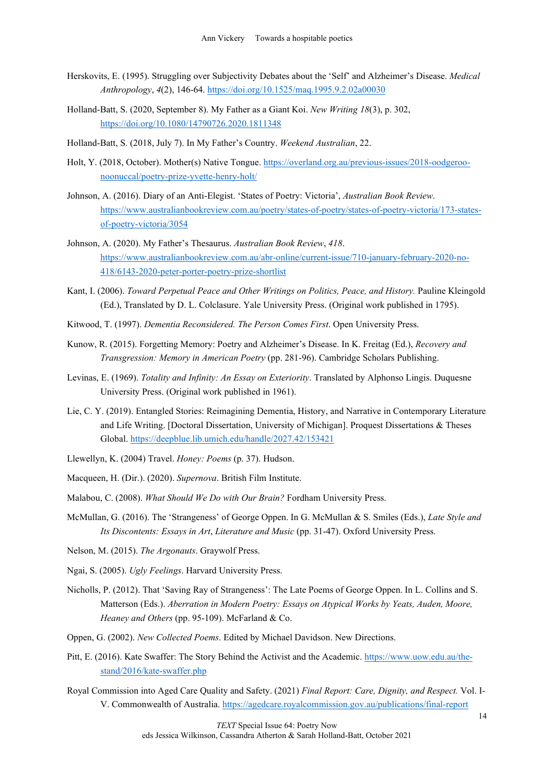- Herskovits, E. (1995). Struggling over Subjectivity Debates about the 'Self' and Alzheimer's Disease. *Medical Anthropology*, *4*(2), 146-64. <https://doi.org/10.1525/maq.1995.9.2.02a00030>
- Holland-Batt, S. (2020, September 8). My Father as a Giant Koi. *New Writing 18*(3), p. 302, <https://doi.org/10.1080/14790726.2020.1811348>
- Holland-Batt, S. (2018, July 7). In My Father's Country. *Weekend Australian*, 22.
- Holt, Y. (2018, October). Mother(s) Native Tongue. [https://overland.org.au/previous-issues/2018-oodgeroo](https://overland.org.au/previous-issues/2018-oodgeroo-noonuccal/poetry-prize-yvette-henry-holt/)[noonuccal/poetry-prize-yvette-henry-holt/](https://overland.org.au/previous-issues/2018-oodgeroo-noonuccal/poetry-prize-yvette-henry-holt/)
- Johnson, A. (2016). Diary of an Anti-Elegist. 'States of Poetry: Victoria', *Australian Book Review*. [https://www.australianbookreview.com.au/poetry/states-of-poetry/states-of-poetry-victoria/173-states](https://www.australianbookreview.com.au/poetry/states-of-poetry/states-of-poetry-victoria/173-states-of-poetry-victoria/3054)[of-poetry-victoria/3054](https://www.australianbookreview.com.au/poetry/states-of-poetry/states-of-poetry-victoria/173-states-of-poetry-victoria/3054)
- Johnson, A. (2020). My Father's Thesaurus. *Australian Book Review*, *418*. [https://www.australianbookreview.com.au/abr-online/current-issue/710-january-february-2020-no-](https://www.australianbookreview.com.au/abr-online/current-issue/710-january-february-2020-no-418/6143-2020-peter-porter-poetry-prize-shortlist)[418/6143-2020-peter-porter-poetry-prize-shortlist](https://www.australianbookreview.com.au/abr-online/current-issue/710-january-february-2020-no-418/6143-2020-peter-porter-poetry-prize-shortlist)
- Kant, I. (2006). *Toward Perpetual Peace and Other Writings on Politics, Peace, and History.* Pauline Kleingold (Ed.), Translated by D. L. Colclasure. Yale University Press. (Original work published in 1795).
- Kitwood, T. (1997). *Dementia Reconsidered. The Person Comes First*. Open University Press.
- Kunow, R. (2015). Forgetting Memory: Poetry and Alzheimer's Disease. In K. Freitag (Ed.), *Recovery and Transgression: Memory in American Poetry* (pp. 281-96). Cambridge Scholars Publishing.
- Levinas, E. (1969). *Totality and Infinity: An Essay on Exteriority*. Translated by Alphonso Lingis. Duquesne University Press. (Original work published in 1961).
- Lie, C. Y. (2019). Entangled Stories: Reimagining Dementia, History, and Narrative in Contemporary Literature and Life Writing. [Doctoral Dissertation, University of Michigan]. Proquest Dissertations & Theses Global. <https://deepblue.lib.umich.edu/handle/2027.42/153421>
- Llewellyn, K. (2004) Travel. *Honey: Poems* (p. 37). Hudson.
- Macqueen, H. (Dir.). (2020). *Supernova*. British Film Institute.
- Malabou, C. (2008). *What Should We Do with Our Brain?* Fordham University Press.
- McMullan, G. (2016). The 'Strangeness' of George Oppen. In G. McMullan & S. Smiles (Eds.), *Late Style and Its Discontents: Essays in Art*, *Literature and Music* (pp. 31-47). Oxford University Press.
- Nelson, M. (2015). *The Argonauts*. Graywolf Press.
- Ngai, S. (2005). *Ugly Feelings*. Harvard University Press.
- Nicholls, P. (2012). That 'Saving Ray of Strangeness': The Late Poems of George Oppen. In L. Collins and S. Matterson (Eds.). *Aberration in Modern Poetry: Essays on Atypical Works by Yeats, Auden, Moore, Heaney and Others* (pp. 95-109). McFarland & Co.
- Oppen, G. (2002). *New Collected Poems*. Edited by Michael Davidson. New Directions.
- Pitt, E. (2016). Kate Swaffer: The Story Behind the Activist and the Academic[. https://www.uow.edu.au/the](https://www.uow.edu.au/the-stand/2016/kate-swaffer.php)[stand/2016/kate-swaffer.php](https://www.uow.edu.au/the-stand/2016/kate-swaffer.php)
- Royal Commission into Aged Care Quality and Safety. (2021) *Final Report: Care, Dignity, and Respect.* Vol. I-V. Commonwealth of Australia. <https://agedcare.royalcommission.gov.au/publications/final-report>